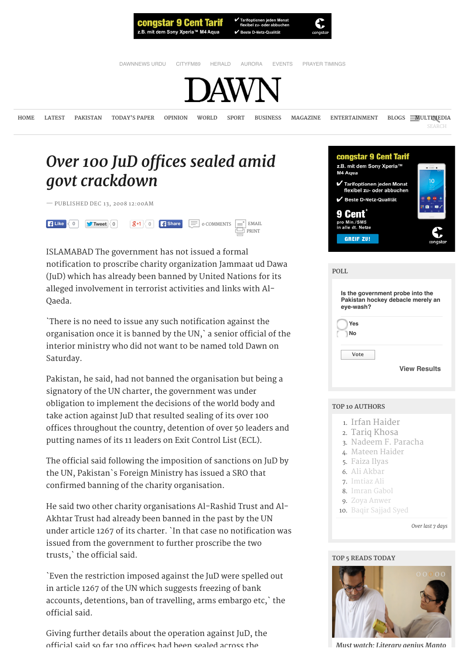

Beste D-Netz-Qualität



[DAWNNEWS URDU](http://www.dawnnews.tv/) [CITYFM89](http://cityfm89.com/) [HERALD](http://herald.dawn.com/) [AURORA](http://aurora.dawn.com/) [EVENTS](http://www.dawn.com/events/dawn-education-expo/) [PRAYER TIMINGS](http://www.dawn.com/prayers-timings/)



**[HOME](http://www.dawn.com/) [LATEST](http://www.dawn.com/latest-news) [PAKISTAN](http://www.dawn.com/pakistan) TODAY['S PAPER](http://epaper.dawn.com/) [OPINION](http://www.dawn.com/opinion) [WORLD](http://www.dawn.com/world) [SPORT](http://www.dawn.com/sport) [BUSINESS](http://www.dawn.com/business) [MAGAZINE](http://www.dawn.com/magazine) [ENTERTAINMENT](http://www.dawn.com/entertainment) [BLOGS](http://www.dawn.com/blogs) [MULTIMEDIA](http://www.dawn.com/multimedia)**

M4 Aqua

congstar 9 Cent Tarif z.B. mit dem Sony Xperia™

Tarifoptionen jeden Monat flexibel zu- oder abbuchen Beste D-Netz-Qualität

# **Over 100 JuD offices sealed amid** *[govt crackdown](http://www.dawn.com/news/433242/over-100-jud-offices-sealed-amid-govt-crackdown)*

— PUBLISHED DEC 13, 2008 12:00AM



ISLAMABAD The government has not issued a formal notification to proscribe charity organization Jammaat ud Dawa (JuD) which has already been banned by United Nations for its alleged involvement in terrorist activities and links with Al-Qaeda.

`There is no need to issue any such notification against the organisation once it is banned by the UN,` a senior official of the interior ministry who did not want to be named told Dawn on Saturday.

Pakistan, he said, had not banned the organisation but being a signatory of the UN charter, the government was under obligation to implement the decisions of the world body and take action against JuD that resulted sealing of its over 100 offices throughout the country, detention of over 50 leaders and putting names of its 11 leaders on Exit Control List (ECL).

The official said following the imposition of sanctions on JuD by the UN, Pakistan`s Foreign Ministry has issued a SRO that confirmed banning of the charity organisation.

He said two other charity organisations Al-Rashid Trust and Al-Akhtar Trust had already been banned in the past by the UN under article 1267 of its charter. `In that case no notification was issued from the government to further proscribe the two trusts,` the official said.



D were spelled out izing of bank s embargo etc,` the

gainst JuD, the

rbuff quiz: How well do you Mushtaq Ahmed the secret behind Androcs the Sammann [Must watch: L](http://www.dawn.com/news/1198981/must-watch-literary-genius-manto-comes-to-life-in-much-awaited-biopic)iterary aenius Manto



| Pakistan hockey debacle merely an<br>eye-wash? |                     |
|------------------------------------------------|---------------------|
| Yes                                            |                     |
| No                                             |                     |
| Vote                                           |                     |
|                                                | <b>View Results</b> |

### **TOP 10 AUTHORS**

- 1. [Irfan Haider](http://www.dawn.com/authors/2652/irfan-haider)
- 2. [Tariq Khosa](http://www.dawn.com/authors/933/tariq-khosa)
- 3. [Nadeem F. Paracha](http://www.dawn.com/authors/774/nadeem-f-paracha)
- 4. [Mateen Haider](http://www.dawn.com/authors/717/mateen-haider)
- 5. [Faiza Ilyas](http://www.dawn.com/authors/217/faiza-ilyas)
- 6. [Ali Akbar](http://www.dawn.com/authors/4396/ali-akbar)
- 7. [Imtiaz Ali](http://www.dawn.com/authors/1200/imtiaz-ali)
- 8. [Imran Gabol](http://www.dawn.com/authors/2505/imran-gabol)
- 9. [Zoya Anwer](http://www.dawn.com/authors/3397/zoya-anwer)
- 10. [Baqir Sajjad Syed](http://www.dawn.com/authors/174/baqir-sajjad-syed)

#### *Over last 7 days*

### **TOP 5 READS TODAY**

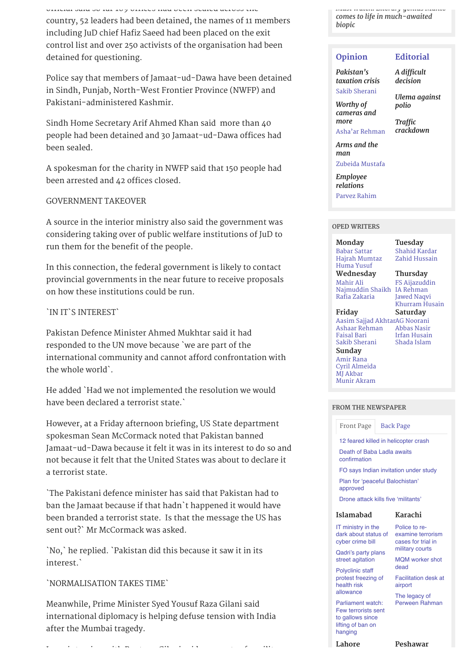*History buf quiz: How well do you know Pakistan's past?*

official said so far 109 offices had been sealed across the *Mushtaq Ahmed the secret behind countries in the names of 11 members* had been detailed by the names of 11 members *Yasir's recent success*

*Kalam — As memories of war*

including JuD chief Hafiz Saeed had been placed on the exit control list and over 250 activists of the organisation had been detained for questioning.

Police say that members of Jamaat-ud-Dawa have been detained in Sindh, Punjab, North-West Frontier Province (NWFP) and Pakistani-administered Kashmir.

Sindh Home Secretary Arif Ahmed Khan said more than 40 people had been detained and 30 Jamaat-ud-Dawa offices had been sealed.

A spokesman for the charity in NWFP said that 150 people had been arrested and 42 offices closed.

### GOVERNMENT TAKEOVER

A source in the interior ministry also said the government was considering taking over of public welfare institutions of JuD to run them for the benefit of the people.

In this connection, the federal government is likely to contact provincial governments in the near future to receive proposals on how these institutions could be run.

### `IN IT`S INTEREST`

Pakistan Defence Minister Ahmed Mukhtar said it had responded to the UN move because `we are part of the international community and cannot afford confrontation with the whole world`.

He added `Had we not implemented the resolution we would have been declared a terrorist state.`

However, at a Friday afternoon briefing, US State department spokesman Sean McCormack noted that Pakistan banned Jamaat-ud-Dawa because it felt it was in its interest to do so and not because it felt that the United States was about to declare it a terrorist state.

`The Pakistani defence minister has said that Pakistan had to ban the Jamaat because if that hadn`t happened it would have been branded a terrorist state. Is that the message the US has sent out?` Mr McCormack was asked.

`No,` he replied. `Pakistan did this because it saw it in its interest.`

### `NORMALISATION TAKES TIME`

Meanwhile, Prime Minister Syed Yousuf Raza Gilani said international diplomacy is helping defuse tension with India after the Mumbai tragedy.

In an interview with Reuters, Gilani said prospects of a military

*Must watch: Literary genius Manto comes to life i[n much-awa](http://www.dawn.com/news/1198981/must-watch-literary-genius-manto-comes-to-life-in-much-awaited-biopic)ited biopic*

## **[Opinion](http://www.dawn.com/newspaper/column) [Editorial](http://www.dawn.com/newspaper/editorial)**

*Paki[stan's](http://www.dawn.com/news/1198899/pakistans-taxation-crisis) taxation crisis*

### *A dif[cult](http://www.dawn.com/news/1198883/a-difficult-decision) decision*

[Sakib Sherani](http://www.dawn.com/authors/436/sakib-sherani) *Worthy of*

*[Ulema aga](http://www.dawn.com/news/1198881/ulema-against-polio)inst polio*

*[cameras and](http://www.dawn.com/news/1198898/worthy-of-cameras-and-more) more* [Asha'ar Rehman](http://www.dawn.com/authors/165/asha-ar-rehman)

*Trafc [crackdown](http://www.dawn.com/news/1198880/traffic-crackdown)*

*[Arms and the](http://www.dawn.com/news/1198897/arms-and-the-man) man*

[Zubeida Mustafa](http://www.dawn.com/authors/975/zubeida-mustafa)

*[Employee](http://www.dawn.com/news/1198893/employee-relations) relations* [Parvez Rahim](http://www.dawn.com/authors/2463/parvez-rahim)

**OPED WRITERS**

[Babar Sattar](http://www.dawn.com/authors/1416/babar-sattar)

## **Monday Tuesday** [Shahid Kardar](http://www.dawn.com/authors/873/shahid-kardar)

**Wednesday Thursday** [Hajrah Mumtaz](http://www.dawn.com/authors/595/hajrah-mumtaz) [Huma Yusuf](http://www.dawn.com/authors/252/huma-yusuf) [Mahir Ali](http://www.dawn.com/authors/322/mahir-ali) [Najmuddin Shaikh](http://www.dawn.com/authors/1222/najmuddin-shaikh) [IA Rehman](http://www.dawn.com/authors/1230/i-a-rehman) [Rafia Zakaria](http://www.dawn.com/authors/410/rafia-zakaria)

[Zahid Hussain](http://www.dawn.com/authors/966/zahid-hussain)

[FS Aijazuddin](http://www.dawn.com/authors/1314/f-s-aijazuddin) [Jawed Naqvi](http://www.dawn.com/authors/280/jawed-naqvi) [Khurram Husain](http://www.dawn.com/authors/675/khurram-husain)

### **Friday Saturday**

[Aasim Sajjad Akhtar](http://www.dawn.com/authors/3/aasim-sajjad-akhtar) [AG Noorani](http://www.dawn.com/authors/1277/a-g-noorani) [Ashaar Rehman](http://www.dawn.com/authors/165/ashaar-rehman) [Faisal Bari](http://www.dawn.com/authors/568/faisal-bari) [Sakib Sherani](http://www.dawn.com/authors/436/sakib-sherani)

[Abbas Nasir](http://www.dawn.com/authors/112/abbas-nasir) [Irfan Husain](http://www.dawn.com/authors/271/irfan-husain) [Shada Islam](http://www.dawn.com/authors/455/shada-islam)

**Sunday** [Amir Rana](http://www.dawn.com/authors/363/amir-rana) [Cyril Almeida](http://www.dawn.com/authors/193/dawncyril) [MJ Akbar](http://www.dawn.com/authors/347/m-j-akbar) [Munir Akram](http://www.dawn.com/authors/368/munir-akram)

#### **FROM THE NEWSPAPER**

[Front Page](http://www.dawn.com/news/433242/over-100-jud-offices-sealed-amid-govt-crackdown#fromthenewspaperHomePage) | [Back Page](http://www.dawn.com/news/433242/over-100-jud-offices-sealed-amid-govt-crackdown#fromthenewspaperBackPage)

[12 feared killed in helicopter crash](http://www.dawn.com/news/1198915/12-feared-killed-in-helicopter-crash)

[Death of Baba Ladla awaits](http://www.dawn.com/news/1198914/death-of-baba-ladla-awaits-confirmation) confirmation

[FO says Indian invitation under study](http://www.dawn.com/news/1198913/fo-says-indian-invitation-under-study)

[Plan for 'peaceful Balochistan'](http://www.dawn.com/news/1198912/plan-for-peaceful-balochistan-approved) approved

[Drone attack kills five 'militants'](http://www.dawn.com/news/1198911/drone-attack-kills-five-militants)

### **Islamabad**

cyber crime bill

IT ministry in the [dark about status of](http://www.dawn.com/news/1198945/it-ministry-in-the-dark-about-status-of-cyber-crime-bill)

Police to re[examine terrorism](http://www.dawn.com/news/1198817/police-to-re-examine-terrorism-cases-for-trial-in-military-courts) cases for trial in military courts

[MQM worker shot](http://www.dawn.com/news/1198816/mqm-worker-shot-dead)

**Karachi**

dead

[Qadri's party plans](http://www.dawn.com/news/1198944/qadris-party-plans-street-agitation) street agitation

Polyclinic staff [protest freezing of](http://www.dawn.com/news/1198943/polyclinic-staff-protest-freezing-of-health-risk-allowance) health risk allowance

[Facilitation desk at](http://www.dawn.com/news/1198815/facilitation-desk-at-airport) airport The legacy of [Perween Rahman](http://www.dawn.com/news/1198814/the-legacy-of-perween-rahman)

Parliament watch: [Few terrorists sent](http://www.dawn.com/news/1198942/parliament-watch-few-terrorists-sent-to-gallows-since-lifting-of-ban-on-hanging) to gallows since lifting of ban on hanging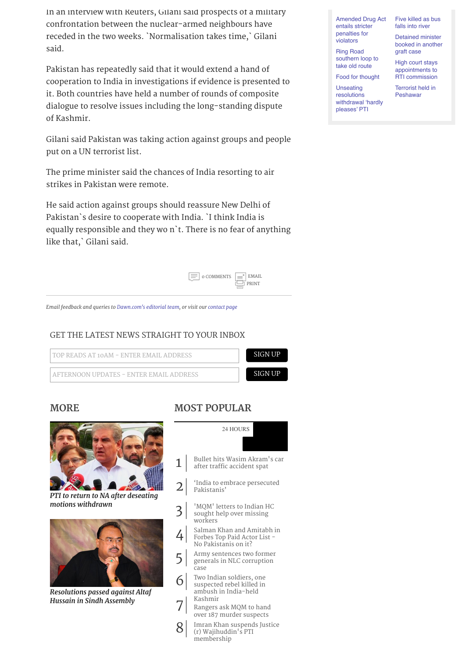In an interview with Reuters, Gilani said prospects of a military confrontation between the nuclear-armed neighbours have receded in the two weeks. `Normalisation takes time,` Gilani said.

Pakistan has repeatedly said that it would extend a hand of cooperation to India in investigations if evidence is presented to it. Both countries have held a number of rounds of composite dialogue to resolve issues including the long-standing dispute of Kashmir.

Gilani said Pakistan was taking action against groups and people put on a UN terrorist list.

The prime minister said the chances of India resorting to air strikes in Pakistan were remote.

He said action against groups should reassure New Delhi of Pakistan`s desire to cooperate with India. `I think India is equally responsible and they wo n`t. There is no fear of anything like that,` Gilani said.



*Email feedback and queries to [Dawn.com's ed](mailto:web@dawn.com?subject=Dawn:%20Story%20feedback)itorial team, or visit our [contact page](http://www.dawn.com/contact/)*

### GET THE LATEST NEWS STRAIGHT TO YOUR INBOX



### **[MORE](http://www.dawn.com/) MOST POPULAR**



*[PTI to return to NA after deseat](http://www.dawn.com/news/1199020/pti-to-return-to-na-after-deseating-motions-withdrawn)ing motions withdrawn*



*Resoluti[ons passed aga](http://www.dawn.com/news/1198995/resolutions-passed-against-altaf-hussain-in-sindh-assembly)inst Altaf Hussain in Sindh Assembly*

|                | 24 HOURS                                                                           |
|----------------|------------------------------------------------------------------------------------|
|                |                                                                                    |
| $\mathbf{1}$   | Bullet hits Wasim Akram's car<br>after traffic accident spat                       |
| $\overline{2}$ | India to embrace persecuted<br>Pakistanis'                                         |
| 3 <sup>1</sup> | 'MQM' letters to Indian HC<br>sought help over missing<br>workers                  |
| $\overline{4}$ | Salman Khan and Amitabh in<br>Forbes Top Paid Actor List -<br>No Pakistanis on it? |
| 5              | Army sentences two former<br>generals in NLC corruption<br>case                    |
|                | Two Indian soldiers, one<br>suspected rebel killed in<br>ambush in India-held      |
|                | Kashmir<br>Rangers ask MQM to hand<br>over 187 murder suspects                     |

[Imran Khan suspends Justice](http://www.dawn.com/news/1198553/imran-khan-suspends-justice-r-wajihuddins-pti-membership) (r) Wajihuddin's PTI membership 8

[Amended Drug Act](http://www.dawn.com/news/1198932/amended-drug-act-entails-stricter-penalties-for-violators) entails stricter penalties for

violators Ring Road [southern loop to](http://www.dawn.com/news/1198931/ring-road-southern-loop-to-take-old-route) take old route

[Food for thought](http://www.dawn.com/news/1198930/food-for-thought)

[High court stays](http://www.dawn.com/news/1198959/high-court-stays-appointments-to-rti-commission) appointments to RTI commission

Unseating resolutions [withdrawal 'hardly](http://www.dawn.com/news/1198929/unseating-resolutions-withdrawal-hardly-pleases-pti) pleases' PTI

[Terrorist held in](http://www.dawn.com/news/1198958/terrorist-held-in-peshawar) Peshawar

[Five killed as bus](http://www.dawn.com/news/1198961/five-killed-as-bus-falls-into-river) falls into river Detained minister [booked in another](http://www.dawn.com/news/1198960/detained-minister-booked-in-another-graft-case) graft case